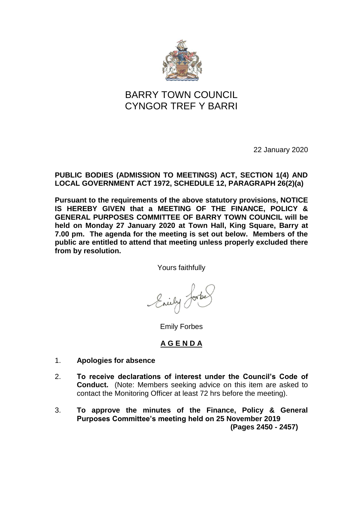

# BARRY TOWN COUNCIL CYNGOR TREF Y BARRI

22 January 2020

### **PUBLIC BODIES (ADMISSION TO MEETINGS) ACT, SECTION 1(4) AND LOCAL GOVERNMENT ACT 1972, SCHEDULE 12, PARAGRAPH 26(2)(a)**

**Pursuant to the requirements of the above statutory provisions, NOTICE IS HEREBY GIVEN that a MEETING OF THE FINANCE, POLICY & GENERAL PURPOSES COMMITTEE OF BARRY TOWN COUNCIL will be held on Monday 27 January 2020 at Town Hall, King Square, Barry at 7.00 pm. The agenda for the meeting is set out below. Members of the public are entitled to attend that meeting unless properly excluded there from by resolution.**

Yours faithfully

Enily

Emily Forbes

# **A G E N D A**

- 1. **Apologies for absence**
- 2. **To receive declarations of interest under the Council's Code of Conduct.** (Note: Members seeking advice on this item are asked to contact the Monitoring Officer at least 72 hrs before the meeting).
- 3. **To approve the minutes of the Finance, Policy & General Purposes Committee's meeting held on 25 November 2019 (Pages 2450 - 2457)**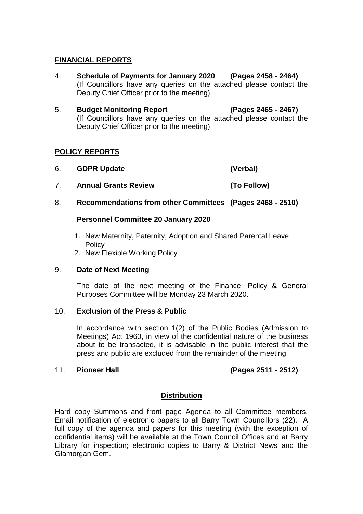#### **FINANCIAL REPORTS**

- 4. **Schedule of Payments for January 2020 (Pages 2458 - 2464)** (If Councillors have any queries on the attached please contact the Deputy Chief Officer prior to the meeting)
- 5. **Budget Monitoring Report (Pages 2465 - 2467)** (If Councillors have any queries on the attached please contact the Deputy Chief Officer prior to the meeting)

### **POLICY REPORTS**

- 6. **GDPR Update (Verbal)**
- 7. **Annual Grants Review (To Follow)**
- 8. **Recommendations from other Committees (Pages 2468 - 2510)**

#### **Personnel Committee 20 January 2020**

- 1. New Maternity, Paternity, Adoption and Shared Parental Leave **Policy**
- 2. New Flexible Working Policy

#### 9. **Date of Next Meeting**

The date of the next meeting of the Finance, Policy & General Purposes Committee will be Monday 23 March 2020.

#### 10. **Exclusion of the Press & Public**

In accordance with section 1(2) of the Public Bodies (Admission to Meetings) Act 1960, in view of the confidential nature of the business about to be transacted, it is advisable in the public interest that the press and public are excluded from the remainder of the meeting.

# 11. **Pioneer Hall (Pages 2511 - 2512)**

#### **Distribution**

Hard copy Summons and front page Agenda to all Committee members. Email notification of electronic papers to all Barry Town Councillors (22). A full copy of the agenda and papers for this meeting (with the exception of confidential items) will be available at the Town Council Offices and at Barry Library for inspection; electronic copies to Barry & District News and the Glamorgan Gem.